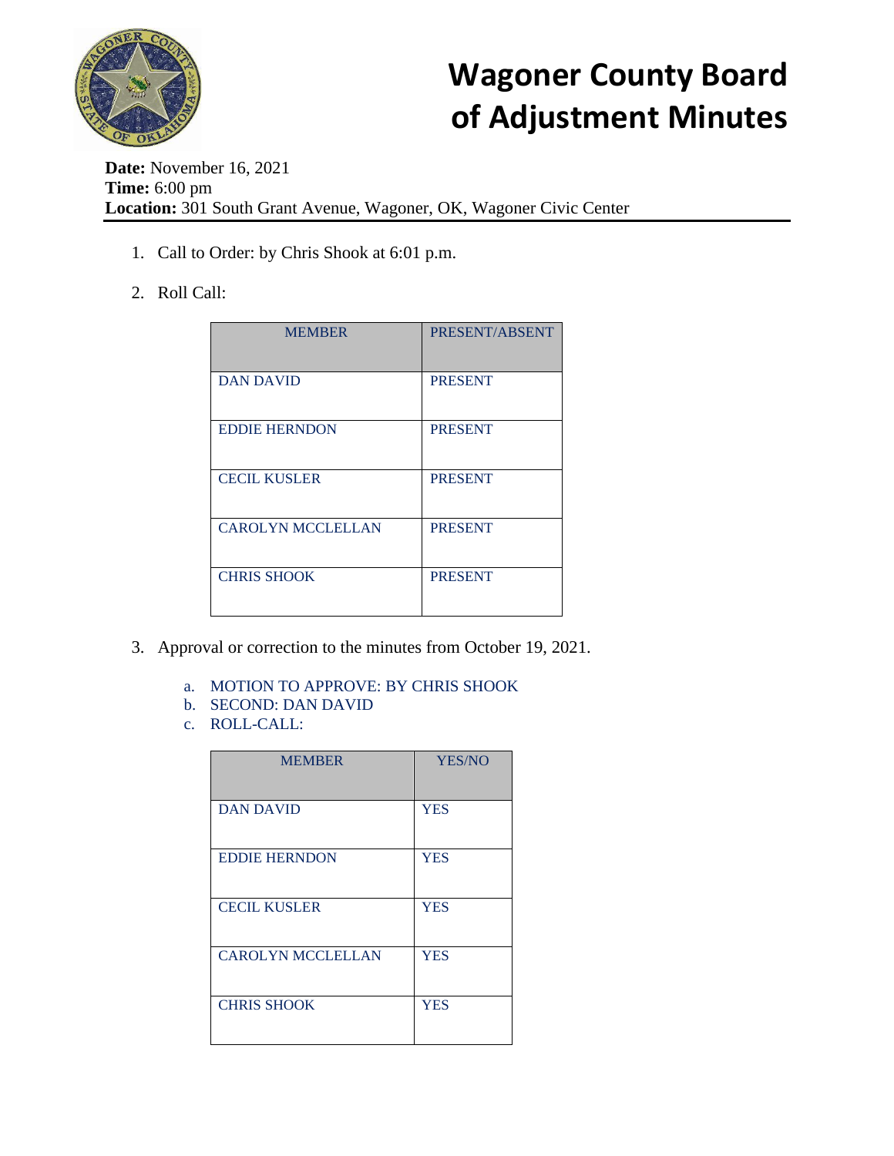

## **Wagoner County Board of Adjustment Minutes**

**Date:** November 16, 2021 **Time:** 6:00 pm **Location:** 301 South Grant Avenue, Wagoner, OK, Wagoner Civic Center

- 1. Call to Order: by Chris Shook at 6:01 p.m.
- 2. Roll Call:

| <b>MEMBER</b>            | PRESENT/ABSENT |
|--------------------------|----------------|
| <b>DAN DAVID</b>         | <b>PRESENT</b> |
| <b>EDDIE HERNDON</b>     | <b>PRESENT</b> |
| <b>CECIL KUSLER</b>      | <b>PRESENT</b> |
| <b>CAROLYN MCCLELLAN</b> | <b>PRESENT</b> |
| <b>CHRIS SHOOK</b>       | <b>PRESENT</b> |

- 3. Approval or correction to the minutes from October 19, 2021.
	- a. MOTION TO APPROVE: BY CHRIS SHOOK
	- b. SECOND: DAN DAVID
	- c. ROLL-CALL:

| <b>YES/NO</b> |
|---------------|
|               |
| <b>YES</b>    |
|               |
| <b>YES</b>    |
|               |
| <b>YES</b>    |
|               |
| <b>YES</b>    |
|               |
| <b>YES</b>    |
|               |
|               |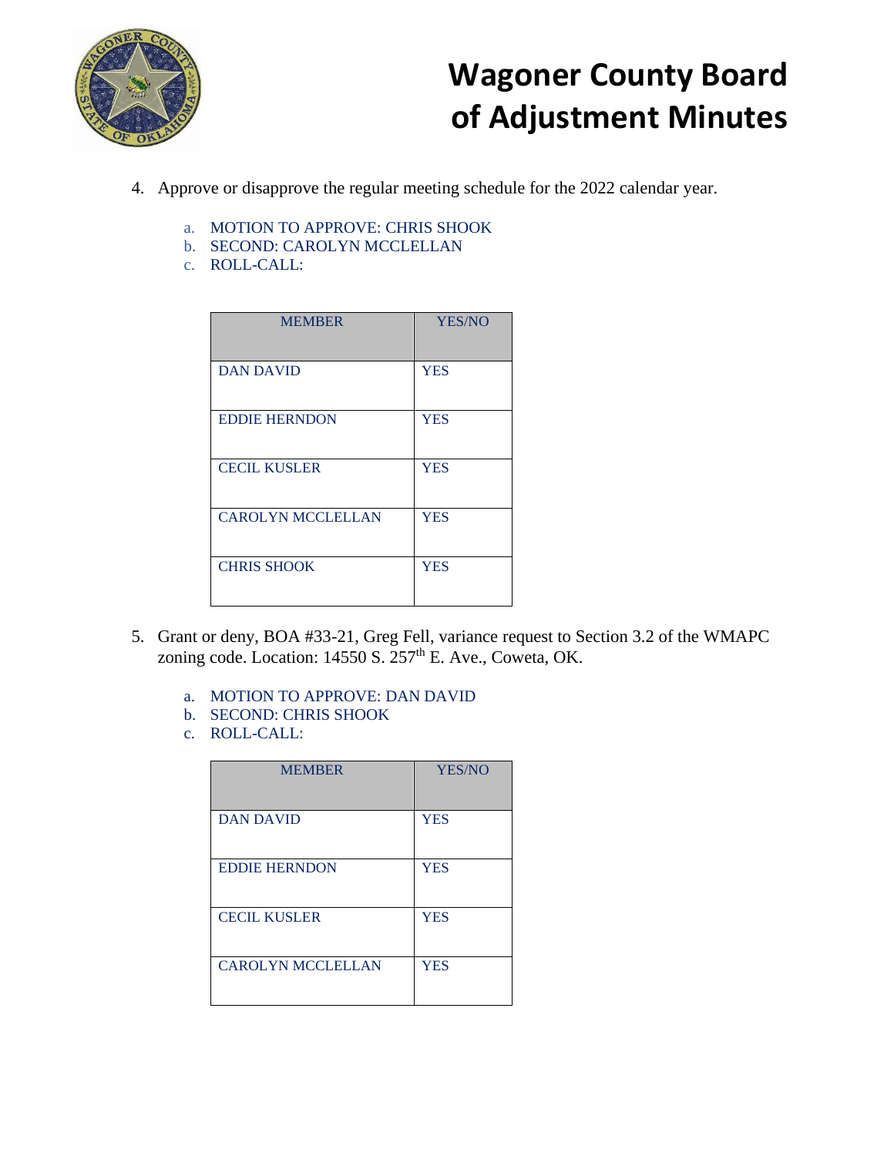

## **Wagoner County Board of Adjustment Minutes**

- 4. Approve or disapprove the regular meeting schedule for the 2022 calendar year.
	- a. MOTION TO APPROVE: CHRIS SHOOK
	- b. SECOND: CAROLYN MCCLELLAN
	- c. ROLL-CALL:

| <b>MEMBER</b>            | YES/NO     |
|--------------------------|------------|
| <b>DAN DAVID</b>         | <b>YES</b> |
| <b>EDDIE HERNDON</b>     | <b>YES</b> |
| <b>CECIL KUSLER</b>      | <b>YES</b> |
| <b>CAROLYN MCCLELLAN</b> | <b>YES</b> |
| <b>CHRIS SHOOK</b>       | <b>YES</b> |

- 5. Grant or deny, BOA #33-21, Greg Fell, variance request to Section 3.2 of the WMAPC zoning code. Location: 14550 S. 257<sup>th</sup> E. Ave., Coweta, OK.
	- a. MOTION TO APPROVE: DAN DAVID
	- b. SECOND: CHRIS SHOOK
	- c. ROLL-CALL:

| <b>MEMBER</b>            | YES/NO     |
|--------------------------|------------|
| <b>DAN DAVID</b>         | <b>YES</b> |
| <b>EDDIE HERNDON</b>     | <b>YES</b> |
| <b>CECIL KUSLER</b>      | <b>YES</b> |
| <b>CAROLYN MCCLELLAN</b> | <b>YES</b> |